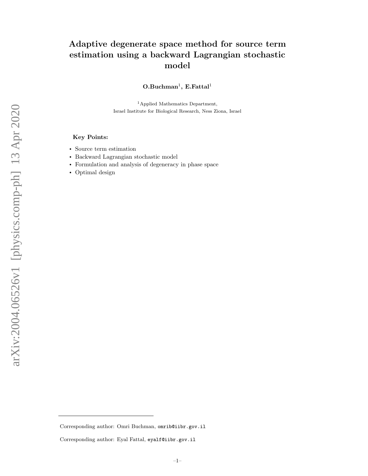# Adaptive degenerate space method for source term estimation using a backward Lagrangian stochastic model

 $O.Buchman<sup>1</sup>, E.Fattal<sup>1</sup>$ 

<sup>1</sup>Applied Mathematics Department, Israel Institute for Biological Research, Ness Ziona, Israel

## Key Points:

- Source term estimation
- Backward Lagrangian stochastic model
- Formulation and analysis of degeneracy in phase space
- Optimal design

Corresponding author: Omri Buchman, omrib@iibr.gov.il

Corresponding author: Eyal Fattal, eyalf@iibr.gov.il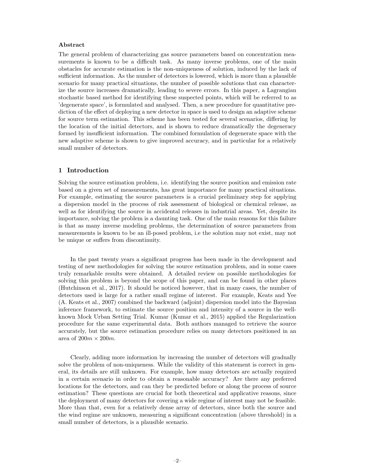## Abstract

The general problem of characterizing gas source parameters based on concentration measurements is known to be a difficult task. As many inverse problems, one of the main obstacles for accurate estimation is the non-uniqueness of solution, induced by the lack of sufficient information. As the number of detectors is lowered, which is more than a plausible scenario for many practical situations, the number of possible solutions that can characterize the source increases dramatically, leading to severe errors. In this paper, a Lagrangian stochastic based method for identifying these suspected points, which will be referred to as 'degenerate space', is formulated and analysed. Then, a new procedure for quantitative prediction of the effect of deploying a new detector in space is used to design an adaptive scheme for source term estimation. This scheme has been tested for several scenarios, differing by the location of the initial detectors, and is shown to reduce dramatically the degeneracy formed by insufficient information. The combined formulation of degenerate space with the new adaptive scheme is shown to give improved accuracy, and in particular for a relatively small number of detectors.

## 1 Introduction

Solving the source estimation problem, i.e. identifying the source position and emission rate based on a given set of measurements, has great importance for many practical situations. For example, estimating the source parameters is a crucial preliminary step for applying a dispersion model in the process of risk assessment of biological or chemical release, as well as for identifying the source in accidental releases in industrial areas. Yet, despite its importance, solving the problem is a daunting task. One of the main reasons for this failure is that as many inverse modeling problems, the determination of source parameters from measurements is known to be an ill-posed problem, i.e the solution may not exist, may not be unique or suffers from discontinuity.

In the past twenty years a significant progress has been made in the development and testing of new methodologies for solving the source estimation problem, and in some cases truly remarkable results were obtained. A detailed review on possible methodologies for solving this problem is beyond the scope of this paper, and can be found in other places (Hutchinson et al., 2017). It should be noticed however, that in many cases, the number of detectors used is large for a rather small regime of interest. For example, Keats and Yee (A. Keats et al., 2007) combined the backward (adjoint) dispersion model into the Bayesian inference framework, to estimate the source position and intensity of a source in the wellknown Mock Urban Setting Trial. Kumar (Kumar et al., 2015) applied the Regularization procedure for the same experimental data. Both authors managed to retrieve the source accurately, but the source estimation procedure relies on many detectors positioned in an area of  $200m \times 200m$ .

Clearly, adding more information by increasing the number of detectors will gradually solve the problem of non-uniqueness. While the validity of this statement is correct in general, its details are still unknown. For example, how many detectors are actually required in a certain scenario in order to obtain a reasonable accuracy? Are there any preferred locations for the detectors, and can they be predicted before or along the process of source estimation? These questions are crucial for both theoretical and applicative reasons, since the deployment of many detectors for covering a wide regime of interest may not be feasible. More than that, even for a relatively dense array of detectors, since both the source and the wind regime are unknown, measuring a significant concentration (above threshold) in a small number of detectors, is a plausible scenario.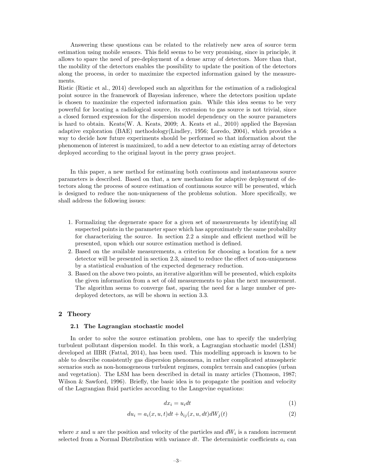Answering these questions can be related to the relatively new area of source term estimation using mobile sensors. This field seems to be very promising, since in principle, it allows to spare the need of pre-deployment of a dense array of detectors. More than that, the mobility of the detectors enables the possibility to update the position of the detectors along the process, in order to maximize the expected information gained by the measurements.

Ristic (Ristic et al., 2014) developed such an algorithm for the estimation of a radiological point source in the framework of Bayesian inference, where the detectors position update is chosen to maximize the expected information gain. While this idea seems to be very powerful for locating a radiological source, its extension to gas source is not trivial, since a closed formed expression for the dispersion model dependency on the source parameters is hard to obtain. Keats(W. A. Keats, 2009; A. Keats et al., 2010) applied the Bayesian adaptive exploration (BAE) methodology(Lindley, 1956; Loredo, 2004), which provides a way to decide how future experiments should be performed so that information about the phenomenon of interest is maximized, to add a new detector to an existing array of detectors deployed according to the original layout in the prery grass project.

In this paper, a new method for estimating both continuous and instantaneous source parameters is described. Based on that, a new mechanism for adaptive deployment of detectors along the process of source estimation of continuous source will be presented, which is designed to reduce the non-uniqueness of the problems solution. More specifically, we shall address the following issues:

- 1. Formalizing the degenerate space for a given set of measurements by identifying all suspected points in the parameter space which has approximately the same probability for characterizing the source. In section 2.2 a simple and efficient method will be presented, upon which our source estimation method is defined.
- 2. Based on the available measurements, a criterion for choosing a location for a new detector will be presented in section 2.3, aimed to reduce the effect of non-uniqueness by a statistical evaluation of the expected degeneracy reduction.
- 3. Based on the above two points, an iterative algorithm will be presented, which exploits the given information from a set of old measurements to plan the next measurement. The algorithm seems to converge fast, sparing the need for a large number of predeployed detectors, as will be shown in section 3.3.

# 2 Theory

## 2.1 The Lagrangian stochastic model

In order to solve the source estimation problem, one has to specify the underlying turbulent pollutant dispersion model. In this work, a Lagrangian stochastic model (LSM) developed at IIBR (Fattal, 2014), has been used. This modelling approach is known to be able to describe consistently gas dispersion phenomena, in rather complicated atmospheric scenarios such as non-homogeneous turbulent regimes, complex terrain and canopies (urban and vegetation). The LSM has been described in detail in many articles (Thomson, 1987; Wilson & Sawford, 1996). Briefly, the basic idea is to propagate the position and velocity of the Lagrangian fluid particles according to the Langevine equations:

$$
dx_i = u_i dt \tag{1}
$$

$$
du_i = a_i(x, u, t)dt + b_{ij}(x, u, dt)dW_j(t)
$$
\n<sup>(2)</sup>

where x and u are the position and velocity of the particles and  $dW_i$  is a random increment selected from a Normal Distribution with variance dt. The deterministic coefficients  $a_i$  can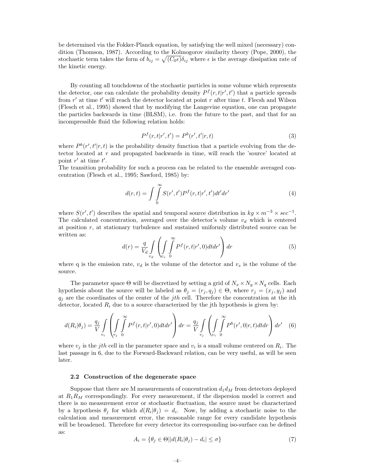be determined via the Fokker-Planck equation, by satisfying the well mixed (necessary) condition (Thomson, 1987). According to the Kolmogorov similarity theory (Pope, 2000), the stochastic term takes the form of  $b_{ij} = \sqrt{(C_0 \epsilon)} \delta_{ij}$  where  $\epsilon$  is the average dissipation rate of the kinetic energy.

By counting all touchdowns of the stochastic particles in some volume which represents the detector, one can calculate the probability density  $P^f(r,t|r',t')$  that a particle spreads from  $r'$  at time  $t'$  will reach the detector located at point  $r$  after time  $t$ . Flecsh and Wilson (Flesch et al., 1995) showed that by modifying the Langevine equation, one can propagate the particles backwards in time (BLSM), i.e. from the future to the past, and that for an incompressible fluid the following relation holds:

$$
P^{f}(r,t|r',t') = P^{b}(r',t'|r,t)
$$
\n(3)

where  $P^{b}(r', t'|r, t)$  is the probability density function that a particle evolving from the detector located at r and propagated backwards in time, will reach the 'source' located at point  $r'$  at time  $t'$ .

The transition probability for such a process can be related to the ensemble averaged concentration (Flesch et al., 1995; Sawford, 1985) by:

$$
d(r,t) = \int\int\limits_0^\infty S(r',t')P^f(r,t|r',t')dt'dr'
$$
\n(4)

where  $S(r', t')$  describes the spatial and temporal source distribution in  $kg \times m^{-3} \times sec^{-1}$ . The calculated concentration, averaged over the detector's volume  $v_d$  which is centered at position  $r$ , at stationary turbulence and sustained uniformly distributed source can be written as:

$$
d(r) = \frac{q}{V_d} \int_{v_d} \left( \int_{v_s} \int_0^\infty P^f(r, t | r', 0) dt dr' \right) dr \tag{5}
$$

where q is the emission rate,  $v_d$  is the volume of the detector and  $v_s$  is the volume of the source.

The parameter space  $\Theta$  will be discretized by setting a grid of  $N_x \times N_y \times N_q$  cells. Each hypothesis about the source will be labeled as  $\theta_j = (r_j, q_j) \in \Theta$ , where  $r_j = (x_j, y_j)$  and  $q_i$  are the coordinates of the center of the *jth* cell. Therefore the concentration at the ith detector, located  $R_i$  due to a source characterized by the jth hypothesis is given by:

$$
d(R_i|\theta_j) = \frac{q_j}{V} \int_{v_i} \left( \int_{v_j} \int_0^\infty P^f(r, t | r', 0) dt dr' \right) dr = \frac{q_j}{V} \int_{v_j} \left( \int_{v_i} \int_0^\infty P^b(r', 0 | r, t) dt dr \right) dr' \quad (6)
$$

where  $v_j$  is the *jth* cell in the parameter space and  $v_i$  is a small volume centered on  $R_i$ . The last passage in 6, due to the Forward-Backward relation, can be very useful, as will be seen later.

## 2.2 Construction of the degenerate space

Suppose that there are M measurements of concentration  $d_1 d_M$  from detectors deployed at  $R_1R_M$  correspondingly. For every measurement, if the dispersion model is correct and there is no measurement error or stochastic fluctuation, the source must be characterized by a hypothesis  $\theta_j$  for which  $d(R_i|\theta_j) = d_i$ . Now, by adding a stochastic noise to the calculation and measurement error, the reasonable range for every candidate hypothesis will be broadened. Therefore for every detector its corresponding iso-surface can be defined as:

$$
A_i = \{ \theta_j \in \Theta | |d(R_i|\theta_j) - d_i| \le \sigma \}
$$
\n<sup>(7)</sup>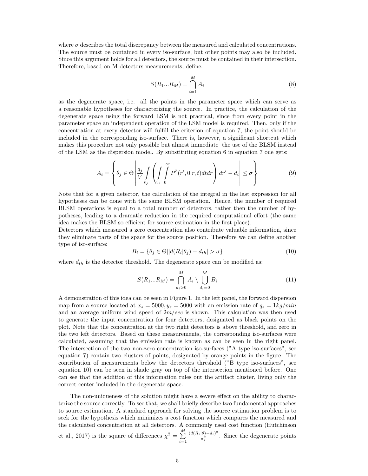where  $\sigma$  describes the total discrepancy between the measured and calculated concentrations. The source must be contained in every iso-surface, but other points may also be included. Since this argument holds for all detectors, the source must be contained in their intersection. Therefore, based on M detectors measurements, define:

$$
S(R_1...R_M) = \bigcap_{i=1}^{M} A_i
$$
\n
$$
(8)
$$

as the degenerate space, i.e. all the points in the parameter space which can serve as a reasonable hypotheses for characterizing the source. In practice, the calculation of the degenerate space using the forward LSM is not practical, since from every point in the parameter space an independent operation of the LSM model is required. Then, only if the concentration at every detector will fulfill the criterion of equation 7, the point should be included in the corresponding iso-surface. There is, however, a significant shortcut which makes this procedure not only possible but almost immediate the use of the BLSM instead of the LSM as the dispersion model. By substituting equation 6 in equation 7 one gets:

$$
A_i = \left\{ \theta_j \in \Theta \left| \frac{q_j}{V} \int_{v_j} \left( \int_{v_i} \int_0^{\infty} P^b(r', 0 | r, t) dt dr \right) dr' - d_i \right| \le \sigma \right\}
$$
(9)

Note that for a given detector, the calculation of the integral in the last expression for all hypotheses can be done with the same BLSM operation. Hence, the number of required BLSM operations is equal to a total number of detectors, rather then the number of hypotheses, leading to a dramatic reduction in the required computational effort (the same idea makes the BLSM so efficient for source estimation in the first place).

Detectors which measured a zero concentration also contribute valuable information, since they eliminate parts of the space for the source position. Therefore we can define another type of iso-surface:

$$
B_i = \{ \theta_j \in \Theta \, | \, d(R_i | \theta_j) - d_{th} | > \sigma \} \tag{10}
$$

where  $d_{th}$  is the detector threshold. The degenerate space can be modified as:

$$
S(R_1...R_M) = \bigcap_{d_i > 0}^{M} A_i \setminus \bigcup_{d_i = 0}^{M} B_i
$$
 (11)

A demonstration of this idea can be seen in Figure 1. In the left panel, the forward dispersion map from a source located at  $x_s = 5000, y_s = 5000$  with an emission rate of  $q_s = 1 \frac{kg}{min}$ and an average uniform wind speed of  $2m/sec$  is shown. This calculation was then used to generate the input concentration for four detectors, designated as black points on the plot. Note that the concentration at the two right detectors is above threshold, and zero in the two left detectors. Based on these measurements, the corresponding iso-surfaces were calculated, assuming that the emission rate is known as can be seen in the right panel. The intersection of the two non-zero concentration iso-surfaces ("A type iso-surfaces", see equation 7) contain two clusters of points, designated by orange points in the figure. The contribution of measurements below the detectors threshold ("B type iso-surfaces", see equation 10) can be seen in shade gray on top of the intersection mentioned before. One can see that the addition of this information rules out the artifact cluster, living only the correct center included in the degenerate space.

The non-uniqueness of the solution might have a severe effect on the ability to characterize the source correctly. To see that, we shall briefly describe two fundamental approaches to source estimation. A standard approach for solving the source estimation problem is to seek for the hypothesis which minimizes a cost function which compares the measured and the calculated concentration at all detectors. A commonly used cost function (Hutchinson et al., 2017) is the square of differences  $\chi^2 = \sum^M$  $i=1$  $(d(R_i|\theta)-d_i)^2)$  $\frac{\partial^{(0)}\theta}{\partial_i^2}$ . Since the degenerate points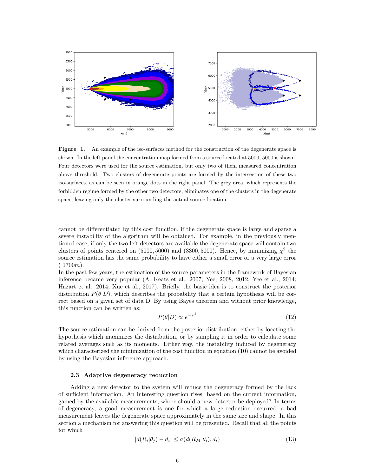

Figure 1. An example of the iso-surfaces method for the construction of the degenerate space is shown. In the left panel the concentration map formed from a source located at 5000, 5000 is shown. Four detectors were used for the source estimation, but only two of them measured concentration above threshold. Two clusters of degenerate points are formed by the intersection of these two iso-surfaces, as can be seen in orange dots in the right panel. The grey area, which represents the forbidden regime formed by the other two detectors, eliminates one of the clusters in the degenerate space, leaving only the cluster surrounding the actual source location.

cannot be differentiated by this cost function, if the degenerate space is large and sparse a severe instability of the algorithm will be obtained. For example, in the previously mentioned case, if only the two left detectors are available the degenerate space will contain two clusters of points centered on (5000, 5000) and (3300, 5000). Hence, by minimizing  $\chi^2$  the source estimation has the same probability to have either a small error or a very large error  $(1700m)$ .

In the past few years, the estimation of the source parameters in the framework of Bayesian inference became very popular (A. Keats et al., 2007; Yee, 2008, 2012; Yee et al., 2014; Hazart et al., 2014; Xue et al., 2017). Briefly, the basic idea is to construct the posterior distribution  $P(\theta|D)$ , which describes the probability that a certain hypothesis will be correct based on a given set of data D. By using Bayes theorem and without prior knowledge, this function can be written as:

$$
P(\theta|D) \propto e^{-\chi^2} \tag{12}
$$

The source estimation can be derived from the posterior distribution, either by locating the hypothesis which maximizes the distribution, or by sampling it in order to calculate some related averages such as its moments. Either way, the instability induced by degeneracy which characterized the minimization of the cost function in equation (10) cannot be avoided by using the Bayesian inference approach.

#### 2.3 Adaptive degeneracy reduction

Adding a new detector to the system will reduce the degeneracy formed by the lack of sufficient information. An interesting question rises based on the current information, gained by the available measurements, where should a new detector be deployed? In terms of degeneracy, a good measurement is one for which a large reduction occurred, a bad measurement leaves the degenerate space approximately in the same size and shape. In this section a mechanism for answering this question will be presented. Recall that all the points for which

$$
|d(R_i|\theta_j) - d_i| \le \sigma(d(R_M|\theta_i), d_i)
$$
\n(13)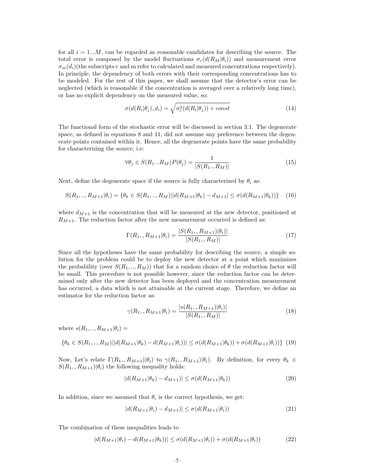for all  $i = 1...M$ , can be regarded as reasonable candidates for describing the source. The total error is composed by the model fluctuations  $\sigma_c(d(R_M|\theta_i))$  and measurement error  $\sigma_m(d_i)$ (the subscripts c and m refer to calculated and measured concentrations respectively). In principle, the dependency of both errors with their corresponding concentrations has to be modeled. For the rest of this paper, we shall assume that the detector's error can be neglected (which is reasonable if the concentration is averaged over a relatively long time), or has no explicit dependency on the measured value, so:

$$
\sigma(d(R_i|\theta_j), d_i) = \sqrt{\sigma_c^2(d(R_i|\theta_j)) + const}
$$
\n(14)

The functional form of the stochastic error will be discussed in section 3.1. The degenerate space, as defined in equations 8 and 11, did not assume any preference between the degenerate points contained within it. Hence, all the degenerate points have the same probability for characterizing the source, i.e:

$$
\forall \theta_j \in S(R_1...R_M)P(\theta_j) = \frac{1}{|S(R_1...R_M)|} \tag{15}
$$

Next, define the degenerate space if the source is fully characterized by  $\theta_i$  as:

$$
S(R_1,..,R_{M+1}|\theta_i) = \{\theta_k \in S(R_1,..,R_M)||d(R_{M+1}|\theta_k) - d_{M+1}| \le \sigma(d(R_{M+1}|\theta_k))\} \tag{16}
$$

where  $d_{M+1}$  is the concentration that will be measured at the new detector, positioned at  $R_{M+1}$ . The reduction factor after the new measurement occurred is defined as:

$$
\Gamma(R_1, R_{M+1}|\theta_i) = \frac{|S(R_1, R_{M+1})|\theta_i)|}{|S(R_1, R_M)|}
$$
\n(17)

Since all the hypotheses have the same probability for describing the source, a simple solution for the problem could be to deploy the new detector at a point which maximizes the probability (over  $S(R_1, ..., R_M)$ ) that for a random choice of  $\theta$  the reduction factor will be small. This procedure is not possible however, since the reduction factor can be determined only after the new detector has been deployed and the concentration measurement has occurred, a data which is not attainable at the current stage. Therefore, we define an estimator for the reduction factor as:

$$
\gamma(R_1, , R_{M+1}|\theta_i) = \frac{|s(R_1, , R_{M+1})|\theta_i)|}{|S(R_1, , R_M)|} \tag{18}
$$

where  $s(R_1, ..., R_{M+1}|\theta_i)$  =

$$
\{\theta_k \in S(R_1,..,R_M) \mid |d(R_{M+1}|\theta_k) - d(R_{M+1}|\theta_i))| \leq \sigma(d(R_{M+1}|\theta_k)) + \sigma(d(R_{M+1}|\theta_i))\} \tag{19}
$$

Now, Let's relate  $\Gamma(R_1, R_{M+1}|\theta_i)$  to  $\gamma(R_1, R_{M+1}|\theta_i)$ . By definition, for every  $\theta_k \in$  $S(R_1, R_{M+1})|\theta_i$  the following inequality holds:

$$
|d(R_{M+1}|\theta_k) - d_{M+1})| \le \sigma(d(R_{M+1}|\theta_k))
$$
\n(20)

In addition, since we assumed that  $\theta_i$  is the correct hypothesis, we get:

$$
|d(R_{M+1}|\theta_i) - d_{M+1})| \le \sigma(d(R_{M+1}|\theta_i))
$$
\n(21)

The combination of these inequalities leads to

$$
|d(R_{M+1}|\theta_i) - d(R_{M+1}|\theta_k))| \le \sigma(d(R_{M+1}|\theta_i)) + \sigma(d(R_{M+1}|\theta_i))
$$
\n(22)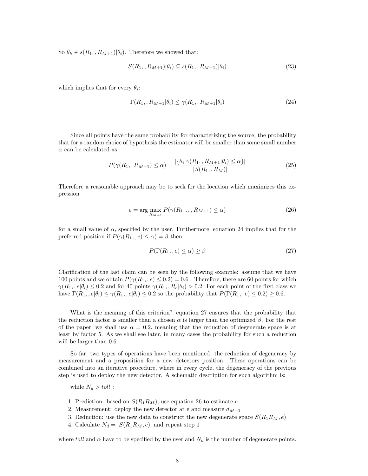So  $\theta_k \in s(R_1, R_{M+1})|\theta_i)$ . Therefore we showed that:

$$
S(R_1, R_{M+1})|\theta_i) \subseteq s(R_1, R_{M+1})|\theta_i)
$$
\n(23)

which implies that for every  $\theta_i$ :

$$
\Gamma(R_1, R_{M+1}|\theta_i) \le \gamma(R_1, R_{M+1}|\theta_i) \tag{24}
$$

Since all points have the same probability for characterizing the source, the probability that for a random choice of hypothesis the estimator will be smaller than some small number  $\alpha$  can be calculated as

$$
P(\gamma(R_1, R_{M+1}) \le \alpha) = \frac{|\{\theta_i | \gamma(R_1, R_{M+1} | \theta_i) \le \alpha\}|}{|S(R_1, R_M)|}
$$
(25)

Therefore a reasonable approach may be to seek for the location which maximizes this expression

$$
e = \arg\max_{R_{M+1}} P(\gamma(R_1, ..., R_{M+1}) \le \alpha)
$$
\n(26)

for a small value of  $\alpha$ , specified by the user. Furthermore, equation 24 implies that for the preferred position if  $P(\gamma(R_1, e) \leq \alpha) = \beta$  then:

$$
P(\Gamma(R_1, e) \le \alpha) \ge \beta \tag{27}
$$

Clarification of the last claim can be seen by the following example: assume that we have 100 points and we obtain  $P(\gamma(R_1, e) \leq 0.2) = 0.6$ . Therefore, there are 60 points for which  $\gamma(R_1, e|\theta_i) \leq 0.2$  and for 40 points  $\gamma(R_1, R_e|\theta_i) > 0.2$ . For each point of the first class we have  $\Gamma(R_1, e|\theta_i) \leq \gamma(R_1, e|\theta_i) \leq 0.2$  so the probability that  $P(\Gamma(R_1, e) \leq 0.2) \geq 0.6$ .

What is the meaning of this criterion? equation 27 ensures that the probability that the reduction factor is smaller than a chosen  $\alpha$  is larger than the optimized  $\beta$ . For the rest of the paper, we shall use  $\alpha = 0.2$ , meaning that the reduction of degenerate space is at least by factor 5. As we shall see later, in many cases the probability for such a reduction will be larger than 0.6.

So far, two types of operations have been mentioned the reduction of degeneracy by measurement and a proposition for a new detectors position. These operations can be combined into an iterative procedure, where in every cycle, the degeneracy of the previous step is used to deploy the new detector. A schematic description for such algorithm is:

while  $N_d > \text{toll}$ :

- 1. Prediction: based on  $S(R_1R_M)$ , use equation 26 to estimate e
- 2. Measurement: deploy the new detector at e and measure  $d_{M+1}$
- 3. Reduction: use the new data to construct the new degenerate space  $S(R_1R_M, e)$
- 4. Calculate  $N_d = |S(R_1R_M, e)|$  and repeat step 1

where toll and  $\alpha$  have to be specified by the user and  $N_d$  is the number of degenerate points.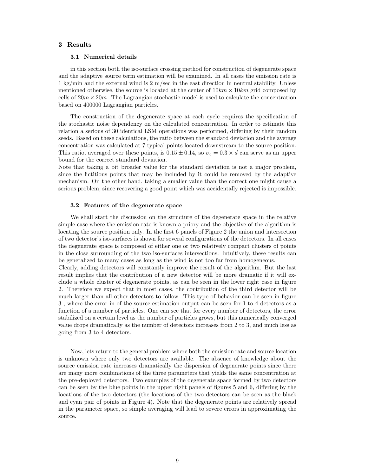# 3 Results

## 3.1 Numerical details

in this section both the iso-surface crossing method for construction of degenerate space and the adaptive source term estimation will be examined. In all cases the emission rate is 1 kg/min and the external wind is 2 m/sec in the east direction in neutral stability. Unless mentioned otherwise, the source is located at the center of  $10km \times 10km$  grid composed by cells of  $20m \times 20m$ . The Lagrangian stochastic model is used to calculate the concentration based on 400000 Lagrangian particles.

The construction of the degenerate space at each cycle requires the specification of the stochastic noise dependency on the calculated concentration. In order to estimate this relation a serious of 30 identical LSM operations was performed, differing by their random seeds. Based on these calculations, the ratio between the standard deviation and the average concentration was calculated at 7 typical points located downstream to the source position. This ratio, averaged over these points, is  $0.15 \pm 0.14$ , so  $\sigma_c = 0.3 \times d$  can serve as an upper bound for the correct standard deviation.

Note that taking a bit broader value for the standard deviation is not a major problem, since the fictitious points that may be included by it could be removed by the adaptive mechanism. On the other hand, taking a smaller value than the correct one might cause a serious problem, since recovering a good point which was accidentally rejected is impossible.

#### 3.2 Features of the degenerate space

We shall start the discussion on the structure of the degenerate space in the relative simple case where the emission rate is known a priory and the objective of the algorithm is locating the source position only. In the first 6 panels of Figure 2 the union and intersection of two detector's iso-surfaces is shown for several configurations of the detectors. In all cases the degenerate space is composed of either one or two relatively compact clusters of points in the close surrounding of the two iso-surfaces intersections. Intuitively, these results can be generalized to many cases as long as the wind is not too far from homogeneous.

Clearly, adding detectors will constantly improve the result of the algorithm. But the last result implies that the contribution of a new detector will be more dramatic if it will exclude a whole cluster of degenerate points, as can be seen in the lower right case in figure 2. Therefore we expect that in most cases, the contribution of the third detector will be much larger than all other detectors to follow. This type of behavior can be seen in figure 3 , where the error in of the source estimation output can be seen for 1 to 4 detectors as a function of a number of particles. One can see that for every number of detectors, the error stabilized on a certain level as the number of particles grows, but this numerically converged value drops dramatically as the number of detectors increases from 2 to 3, and much less as going from 3 to 4 detectors.

Now, lets return to the general problem where both the emission rate and source location is unknown where only two detectors are available. The absence of knowledge about the source emission rate increases dramatically the dispersion of degenerate points since there are many more combinations of the three parameters that yields the same concentration at the pre-deployed detectors. Two examples of the degenerate space formed by two detectors can be seen by the blue points in the upper right panels of figures 5 and 6, differing by the locations of the two detectors (the locations of the two detectors can be seen as the black and cyan pair of points in Figure 4). Note that the degenerate points are relatively spread in the parameter space, so simple averaging will lead to severe errors in approximating the source.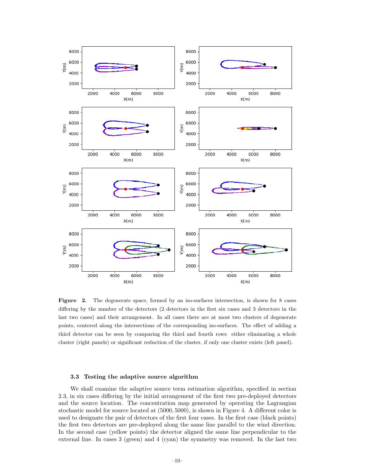

Figure 2. The degenerate space, formed by an iso-surfaces intersection, is shown for 8 cases differing by the number of the detectors (2 detectors in the first six cases and 3 detectors in the last two cases) and their arrangement. In all cases there are at most two clusters of degenerate points, centered along the intersections of the corresponding iso-surfaces. The effect of adding a third detector can be seen by comparing the third and fourth rows either eliminating a whole cluster (right panels) or significant reduction of the cluster, if only one cluster exists (left panel).

## 3.3 Testing the adaptive source algorithm

We shall examine the adaptive source term estimation algorithm, specified in section 2.3, in six cases differing by the initial arrangement of the first two pre-deployed detectors and the source location. The concentration map generated by operating the Lagrangian stochastic model for source located at (5000, 5000), is shown in Figure 4. A different color is used to designate the pair of detectors of the first four cases. In the first case (black points) the first two detectors are pre-deployed along the same line parallel to the wind direction. In the second case (yellow points) the detector aligned the same line perpendicular to the external line. In cases 3 (green) and 4 (cyan) the symmetry was removed. In the last two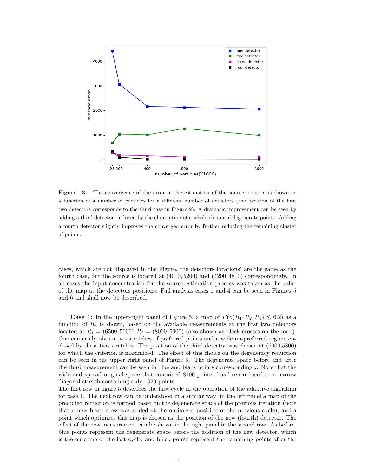

Figure 3. The convergence of the error in the estimation of the source position is shown as a function of a number of particles for a different number of detectors (the location of the first two detectors corresponds to the third case in Figure 2). A dramatic improvement can be seen by adding a third detector, induced by the elimination of a whole cluster of degenerate points. Adding a fourth detector slightly improves the converged error by further reducing the remaining cluster of points.

cases, which are not displayed in the Figure, the detectors locations' are the same as the fourth case, but the source is located at (4000, 5200) and (4200, 4800) correspondingly. In all cases the input concentration for the source estimation process was taken as the value of the map at the detectors positions. Full analysis cases 1 and 4 can be seen in Figures 5 and 6 and shall now be described.

**Case 1:** In the upper-right panel of Figure 5, a map of  $P(\gamma(R_1, R_2, R_3) \leq 0.2)$  as a function of  $R_3$  is shown, based on the available measurements at the first two detectors located at  $R_1 = (6500, 5000), R_2 = (8000, 5000)$  (also shown as black crosses on the map). One can easily obtain two stretches of preferred points and a wide un-preferred regime enclosed by these two stretches. The position of the third detector was chosen at (6000,5300) for which the criterion is maximized. The effect of this choice on the degeneracy reduction can be seen in the upper right panel of Figure 5. The degenerate space before and after the third measurement can be seen in blue and black points correspondingly. Note that the wide and spread original space that contained 8100 points, has been reduced to a narrow diagonal stretch containing only 1023 points.

The first row in figure 5 describes the first cycle in the operation of the adaptive algorithm for case 1. The next row can be understood in a similar way in the left panel a map of the predicted reduction is formed based on the degenerate space of the previous iteration (note that a new black cross was added at the optimized position of the previous cycle), and a point which optimizes this map is chosen as the position of the new (fourth) detector. The effect of the new measurement can be shown in the right panel in the second row. As before, blue points represent the degenerate space before the addition of the new detector, which is the outcome of the last cycle, and black points represent the remaining points after the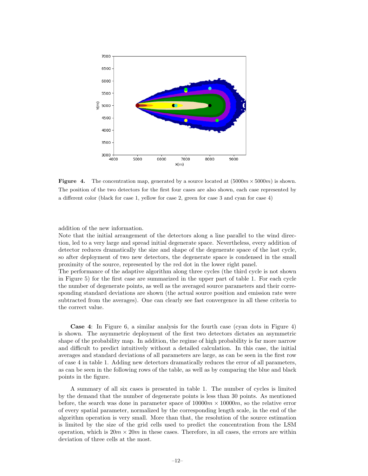

**Figure 4.** The concentration map, generated by a source located at  $(5000m \times 5000m)$  is shown. The position of the two detectors for the first four cases are also shown, each case represented by a different color (black for case 1, yellow for case 2, green for case 3 and cyan for case 4)

addition of the new information.

Note that the initial arrangement of the detectors along a line parallel to the wind direction, led to a very large and spread initial degenerate space. Nevertheless, every addition of detector reduces dramatically the size and shape of the degenerate space of the last cycle, so after deployment of two new detectors, the degenerate space is condensed in the small proximity of the source, represented by the red dot in the lower right panel.

The performance of the adaptive algorithm along three cycles (the third cycle is not shown in Figure 5) for the first case are summarized in the upper part of table 1. For each cycle the number of degenerate points, as well as the averaged source parameters and their corresponding standard deviations are shown (the actual source position and emission rate were subtracted from the averages). One can clearly see fast convergence in all these criteria to the correct value.

Case 4: In Figure 6, a similar analysis for the fourth case (cyan dots in Figure 4) is shown. The asymmetric deployment of the first two detectors dictates an asymmetric shape of the probability map. In addition, the regime of high probability is far more narrow and difficult to predict intuitively without a detailed calculation. In this case, the initial averages and standard deviations of all parameters are large, as can be seen in the first row of case 4 in table 1. Adding new detectors dramatically reduces the error of all parameters, as can be seen in the following rows of the table, as well as by comparing the blue and black points in the figure.

A summary of all six cases is presented in table 1. The number of cycles is limited by the demand that the number of degenerate points is less than 30 points. As mentioned before, the search was done in parameter space of  $10000m \times 10000m$ , so the relative error of every spatial parameter, normalized by the corresponding length scale, in the end of the algorithm operation is very small. More than that, the resolution of the source estimation is limited by the size of the grid cells used to predict the concentration from the LSM operation, which is  $20m \times 20m$  in these cases. Therefore, in all cases, the errors are within deviation of three cells at the most.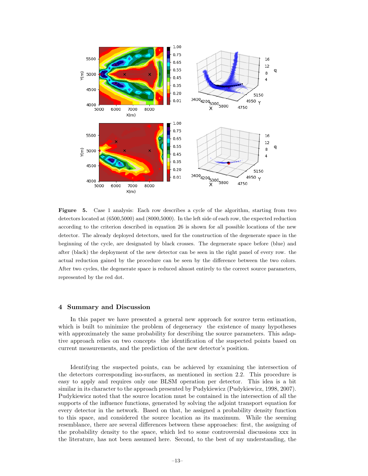

Figure 5. Case 1 analysis: Each row describes a cycle of the algorithm, starting from two detectors located at (6500,5000) and (8000,5000). In the left side of each row, the expected reduction according to the criterion described in equation 26 is shown for all possible locations of the new detector. The already deployed detectors, used for the construction of the degenerate space in the beginning of the cycle, are designated by black crosses. The degenerate space before (blue) and after (black) the deployment of the new detector can be seen in the right panel of every row. the actual reduction gained by the procedure can be seen by the difference between the two colors. After two cycles, the degenerate space is reduced almost entirely to the correct source parameters, represented by the red dot.

## 4 Summary and Discussion

In this paper we have presented a general new approach for source term estimation, which is built to minimize the problem of degeneracy the existence of many hypotheses with approximately the same probability for describing the source parameters. This adaptive approach relies on two concepts the identification of the suspected points based on current measurements, and the prediction of the new detector's position.

Identifying the suspected points, can be achieved by examining the intersection of the detectors corresponding iso-surfaces, as mentioned in section 2.2. This procedure is easy to apply and requires only one BLSM operation per detector. This idea is a bit similar in its character to the approach presented by Pudykiewicz (Pudykiewicz, 1998, 2007). Pudykiewicz noted that the source location must be contained in the intersection of all the supports of the influence functions, generated by solving the adjoint transport equation for every detector in the network. Based on that, he assigned a probability density function to this space, and considered the source location as its maximum. While the seeming resemblance, there are several differences between these approaches: first, the assigning of the probability density to the space, which led to some controversial discussions xxx in the literature, has not been assumed here. Second, to the best of my understanding, the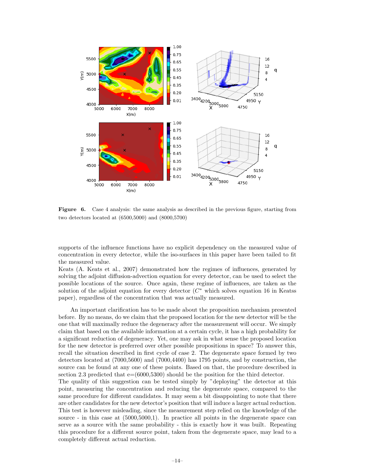

Figure 6. Case 4 analysis: the same analysis as described in the previous figure, starting from two detectors located at (6500,5000) and (8000,5700)

supports of the influence functions have no explicit dependency on the measured value of concentration in every detector, while the iso-surfaces in this paper have been tailed to fit the measured value.

Keats (A. Keats et al., 2007) demonstrated how the regimes of influences, generated by solving the adjoint diffusion-advection equation for every detector, can be used to select the possible locations of the source. Once again, these regime of influences, are taken as the solution of the adjoint equation for every detector  $(C^*$  which solves equation 16 in Keatss paper), regardless of the concentration that was actually measured.

An important clarification has to be made about the proposition mechanism presented before. By no means, do we claim that the proposed location for the new detector will be the one that will maximally reduce the degeneracy after the measurement will occur. We simply claim that based on the available information at a certain cycle, it has a high probability for a significant reduction of degeneracy. Yet, one may ask in what sense the proposed location for the new detector is preferred over other possible propositions in space? To answer this, recall the situation described in first cycle of case 2. The degenerate space formed by two detectors located at (7000,5600) and (7000,4400) has 1795 points, and by construction, the source can be found at any one of these points. Based on that, the procedure described in section 2.3 predicted that  $e=(6000,5300)$  should be the position for the third detector. The quality of this suggestion can be tested simply by "deploying" the detector at this point, measuring the concentration and reducing the degenerate space, compared to the same procedure for different candidates. It may seem a bit disappointing to note that there

are other candidates for the new detector's position that will induce a larger actual reduction. This test is however misleading, since the measurement step relied on the knowledge of the source - in this case at (5000,5000,1). In practice all points in the degenerate space can serve as a source with the same probability - this is exactly how it was built. Repeating this procedure for a different source point, taken from the degenerate space, may lead to a completely different actual reduction.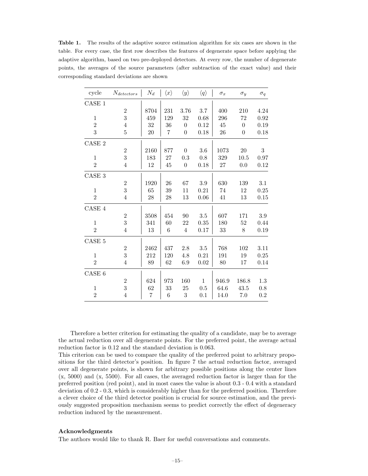Table 1. The results of the adaptive source estimation algorithm for six cases are shown in the table. For every case, the first row describes the features of degenerate space before applying the adaptive algorithm, based on two pre-deployed detectors. At every row, the number of degenerate points, the averages of the source parameters (after subtraction of the exact value) and their corresponding standard deviations are shown

| cycle          | $N_{deterators}$ | ${\cal N}_d$   | $\langle x \rangle$ | $\langle y \rangle$ | $\langle q \rangle$ | $\sigma_x$ | $\sigma_{u}$   | $\sigma_q$ |
|----------------|------------------|----------------|---------------------|---------------------|---------------------|------------|----------------|------------|
| CASE 1         |                  |                |                     |                     |                     |            |                |            |
|                | $\,2$            | 8704           | 231                 | 3.76                | 3.7                 | 400        | 210            | 4.24       |
| $\mathbf{1}$   | 3                | 459            | 129                 | 32                  | 0.68                | 296        | 72             | 0.92       |
| $\overline{2}$ | $\overline{4}$   | 32             | 36                  | $\theta$            | 0.12                | 45         | $\overline{0}$ | 0.19       |
| 3              | $\overline{5}$   | 20             | 7                   | $\boldsymbol{0}$    | 0.18                | 26         | $\overline{0}$ | 0.18       |
| CASE 2         |                  |                |                     |                     |                     |            |                |            |
|                | $\overline{2}$   | 2160           | 877                 | $\theta$            | 3.6                 | 1073       | 20             | $\sqrt{3}$ |
| $\mathbf{1}$   | 3                | 183            | 27                  | 0.3                 | 0.8                 | 329        | 10.5           | 0.97       |
| $\overline{2}$ | $\overline{4}$   | 12             | 45                  | $\boldsymbol{0}$    | 0.18                | 27         | 0.0            | 0.12       |
| $\rm CASE$ $3$ |                  |                |                     |                     |                     |            |                |            |
|                | $\overline{2}$   | 1920           | 26                  | 67                  | 3.9                 | 630        | 139            | 3.1        |
| $\mathbf{1}$   | 3                | 65             | 39                  | 11                  | 0.21                | 74         | 12             | 0.25       |
| $\overline{2}$ | $\overline{4}$   | 28             | 28                  | 13                  | 0.06                | 41         | 13             | 0.15       |
| CASE 4         |                  |                |                     |                     |                     |            |                |            |
|                | $\overline{2}$   | 3508           | 454                 | 90                  | 3.5                 | 607        | 171            | $3.9\,$    |
| $\mathbf{1}$   | 3                | 341            | 60                  | 22                  | 0.35                | 180        | 52             | 0.44       |
| $\overline{2}$ | $\overline{4}$   | 13             | 6                   | $\overline{4}$      | 0.17                | 33         | 8              | 0.19       |
| $\rm CASE$ $5$ |                  |                |                     |                     |                     |            |                |            |
|                | $\boldsymbol{2}$ | 2462           | 437                 | 2.8                 | 3.5                 | 768        | 102            | 3.11       |
| $\mathbf{1}$   | 3                | 212            | 120                 | 4.8                 | 0.21                | 191        | 19             | 0.25       |
| $\overline{2}$ | 4                | 89             | 62                  | 6.9                 | 0.02                | 80         | 17             | 0.14       |
| CASE 6         |                  |                |                     |                     |                     |            |                |            |
|                | $\overline{2}$   | 624            | 973                 | 160                 | $\mathbf{1}$        | 946.9      | 186.8          | 1.3        |
| $\mathbf{1}$   | 3                | 62             | 33                  | 25                  | 0.5                 | 64.6       | 43.5           | 0.8        |
| $\overline{2}$ | $\overline{4}$   | $\overline{7}$ | 6                   | 3                   | 0.1                 | 14.0       | 7.0            | 0.2        |

Therefore a better criterion for estimating the quality of a candidate, may be to average the actual reduction over all degenerate points. For the preferred point, the average actual reduction factor is 0.12 and the standard deviation is 0.063.

This criterion can be used to compare the quality of the preferred point to arbitrary propositions for the third detector's position. In figure 7 the actual reduction factor, averaged over all degenerate points, is shown for arbitrary possible positions along the center lines (x, 5000) and (x, 5500). For all cases, the averaged reduction factor is larger than for the preferred position (red point), and in most cases the value is about 0.3 - 0.4 with a standard deviation of 0.2 - 0.3, which is considerably higher than for the preferred position. Therefore a clever choice of the third detector position is crucial for source estimation, and the previously suggested proposition mechanism seems to predict correctly the effect of degeneracy reduction induced by the measurement.

#### Acknowledgments

The authors would like to thank R. Baer for useful conversations and comments.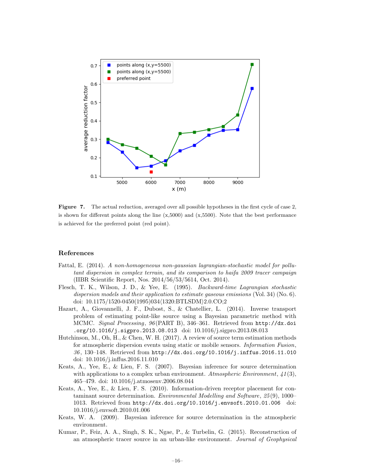

Figure 7. The actual reduction, averaged over all possible hypotheses in the first cycle of case 2, is shown for different points along the line  $(x,5000)$  and  $(x,5500)$ . Note that the best performance is achieved for the preferred point (red point).

## References

- Fattal, E. (2014). A non-homogeneous non-gaussian lagrangian-stochastic model for pollutant dispersion in complex terrain, and its comparison to haifa 2009 tracer campaign (IIBR Scientific Report, Nos. 2014/56/53/5614, Oct. 2014).
- Flesch, T. K., Wilson, J. D., & Yee, E. (1995). Backward-time Lagrangian stochastic dispersion models and their application to estimate gaseous emissions (Vol. 34) (No. 6). doi: 10.1175/1520-0450(1995)034(1320:BTLSDM)2.0.CO;2
- Hazart, A., Giovannelli, J. F., Dubost, S., & Chatellier, L. (2014). Inverse transport problem of estimating point-like source using a Bayesian parametric method with MCMC. Signal Processing, 96 (PART B), 346–361. Retrieved from http://dx.doi .org/10.1016/j.sigpro.2013.08.013 doi: 10.1016/j.sigpro.2013.08.013
- Hutchinson, M., Oh, H., & Chen, W. H. (2017). A review of source term estimation methods for atmospheric dispersion events using static or mobile sensors. Information Fusion,  $36, 130-148.$  Retrieved from http://dx.doi.org/10.1016/j.inffus.2016.11.010 doi: 10.1016/j.inffus.2016.11.010
- Keats, A., Yee, E., & Lien, F. S. (2007). Bayesian inference for source determination with applications to a complex urban environment. Atmospheric Environment,  $41(3)$ , 465–479. doi: 10.1016/j.atmosenv.2006.08.044
- Keats, A., Yee, E., & Lien, F. S. (2010). Information-driven receptor placement for contaminant source determination. Environmental Modelling and Software, 25 (9), 1000– 1013. Retrieved from http://dx.doi.org/10.1016/j.envsoft.2010.01.006 doi: 10.1016/j.envsoft.2010.01.006
- Keats, W. A. (2009). Bayesian inference for source determination in the atmospheric environment.
- Kumar, P., Feiz, A. A., Singh, S. K., Ngae, P., & Turbelin, G. (2015). Reconstruction of an atmospheric tracer source in an urban-like environment. Journal of Geophysical